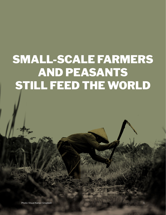# SMALL-SCALE FARMERS AND PEASANTS STILL FEED THE WORLD

Photo: Visual Karsa / Unsplash 1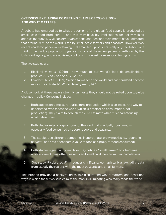## **OVERVIEW: EXPLAINING COMPETING CLAIMS OF 70% VS. 30% AND WHY IT MATTERS**

A debate has emerged as to what proportion of the global food supply is produced by small-scale food producers — one that may have big implications for policy-making addressing hunger. Civil society organisations and peasant movements have estimated that around 70% of the world is fed by small-scale farmers and peasants. However, two recent academic papers are claiming that small farm producers really only feed about one third of the world's population. Significantly, one of these new papers is authored by the UN's food agency, who are advising a policy shift toward more support for big farms.

The two studies are:

- 1. Ricciardi V. *et al.*, (2018), "How much of our world's food do smallholders produce?", *Glob. Food Sec*. 17, 64–72.
- 2. Lowder S.K., *et al.*,(2021) "Which farms feed the world and has farmland become more concentrated?", *World Development*, 142.

A closer look at these papers strongly suggests they should not be relied upon to guide changes in policy. Concerns include:

- 1. Both studies only measure agricultural production which is an inaccurate way to understand who feeds the world (which is a matter of consumption, not production). They claim to debunk the 70% estimate while mis-characterising what it describes.
- 2. Both studies miss a large amount of the food that is actually consumed  $$ especially food consumed by poorer people and peasants.
- 3. The studies use different, sometimes inappropriate, proxy metrics (e.g. counting harvest, land area or economic value of food as a proxy for food consumed).
- 4. Both studies significantly limit how they define a "small farmer" to 2 hectares while also excluding other peasants and small producers from their calculations.
- 5. One study (Ricciardi *et al.*) introduces significant geographical bias, excluding data from exactly the regions with the most peasants and small farmers.

This briefing provides a background to this dispute and why it matters, and describes ways in which these two studies miss the mark in illuminating who really feeds the world.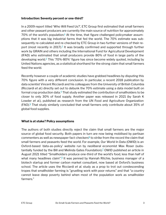#### **Introduction: Seventy percent or one-third?**

In a 2009 report titled 'Who Will Feed Us?', ETC Group first estimated that small farmers and other peasant producers are currently the main source of nutrition for approximately 70% of the world's population.<sup>1</sup> At the time, that figure challenged policymaker assumptions that it was big industrial farms that fed the world. The 70% estimate was subsequently re-calculated and re-checked by ETC Group in two further versions of their re-port (most recently in [2](#page-14-0)017).<sup>2</sup> It was broadly confirmed and supported through further work by GRAIN and others including the International Fund for Agricultural Development (IFAD) who estimated that small producers provide 80% of food in large parts of the developing world.<sup>3</sup> This '70%-80%' figure has since become widely quoted, including by United Nations agencies, as a statistical shorthand for the strong claim that small farmers feed the world.

Recently however a couple of academic studies have grabbed headlines by disputing this 70% figure with a very different conclusion. In particular, a recent 2018 publication by data scientist Vincent Ricciardi and his colleagues from the University of British Columbia (Ricciardi *et al.*) directly set out to debunk the 70% estimate using a data model built on formal crop production data. $4$  That study estimated the contribution of smallholders to be closer to only 30% of food supply. Another paper was released in 2021 (by Sarah K Lowder *et al.*), published as research from the UN Food and Agriculture Organization  $(FAO).<sup>5</sup>$  That study similarly concluded that small farmers only contribute about 35% of global food supplies.

#### **What is at stake? Policy assumptions**

The authors of both studies directly reject the claim that small farmers are the major source of global food security. Both papers in turn are now being mobilised by partisan commenters as well as newspaper fact-checkers $^6$  to strike from the record the claim that small farmers and peasants feed the world. For example, Our World In Data (OWID) is an Oxford-based 'data-as-policy' website run by neoliberal economist Max Roser (substantially funded by the Bill and Melinda Gates Foundation).<sup> $7$ </sup> OWID published an article in August 2021 titled "Smallholders produce one-third of the world's food, less than half of what many headlines claim".<sup>8</sup> It was penned by Hannah Ritchie, business manager of a biotech startup and former carbon market consultant, now based at Oxford's business school. The article uses the Ricciardi *et al.* study as a prop to trot out condescending tropes that smallholder farming is "gruelling work with poor returns" and that "a country cannot leave deep poverty behind when most of the population work as smallholder farmers."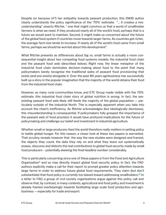Despite (or because of?) her antipathy towards peasant production, this OWID author clearly understands the policy significance of the '70%' estimate: "... it creates a misunderstanding" asserts Ritchie, " one that might convince us that a world of smallholder farmers is what we need. If they produced nearly all of the world's food, perhaps that is a future we would want to maintain. Second, it might make us concerned about the future of the global food system if countries move towards larger farms. As countries get richer, the average farm size tends to increase. If nearly all of the world's food came from small farms, perhaps we should be worried about this development".

What Ritchie presents as differences about big vs. small farms is actually a more consequential insight about two competing food systems models: the industrial food chain and the peasant food web (described below). Right now, the linear metaphor of the industrial food chain dominates decision-making about food to the point that many policymakers barely recognise the traditional webs of peasant food provisioning that exists (and pre-exists) alongside it. Over the past 80 years agribusiness has successfully built up a story in the popular imagination that the majority of the world obtains their food from the industrial food chain.

However, as many rural communities know, and ETC Group made visible with the 70% estimate, this industrial food chain story of global nutrition is wrong. In fact, the preexisting peasant food web likely still feeds the majority of the global population — particularly outside of the industrial North. This is especially apparent when you take into account the chain's inefficiency. As Ritchie acknowledges (but ideologically dismisses), this misunderstanding is consequential. If policymakers fully grasped the importance of the peasant web of food provision it would have profound implications for the future of policymaking and challenge our belief and investment in industrial agriculture.

Whether small or large producers feed the world therefore really matters in setting policy to battle global hunger. For this reason, a closer look at these two papers is warranted. That scrutiny reveals however that the way the new studies were designed and framed, the objects they count, the data they rely on and what they leave out systematically erases, obscures and distorts the real contributions to global food security made by small food producers – potentially skewing the final headline number considerably.

This is particularly concerning since one of these papers is from the Food and Agriculture Organization<sup>9</sup> and so may directly impact global food security policy. In fact, the FAO authors explicitly make a call for their report to prompt greater policy attention towards large farms in order to address future global food requirements. They claim (but don't substantiate) that food policy is currently too biased toward addressing smallholders.<sup>10</sup> In a letter to FAO, a group of civil society organisations argue against this policy call and observe that, by contrast, in many contexts, agricultural and food policy and investment is already framed overbearingly towards facilitating large scale food production and agribusiness — especially for trade and export.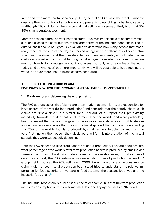In the end, with more careful scholarship, it may be that "70%" is not the exact number to describe the contribution of smallholders and peasants to upholding global food security — although ETC still stands strongly behind that estimate. It seems unlikely to us that 30- 35% is an accurate assessment.

Moreover, these figures only tell half the story. Equally as important is to accurately measure and assess the contributions of the large farms of the industrial food chain. The industrial chain should be rigorously evaluated to determine how many people that model really feeds at the end of the day as stacked up against the trillions of dollars of infrastructure, investment and the considerable health, environmental, and climate change costs associated with industrial farming. What is urgently needed is a common agreement on how to fairly recognise, count and assess not only who really feeds the world today (and at what cost) but more importantly who will be best able to keep feeding the world in an ever more uncertain and constrained future.

# **ASSESSING THE ONE-THIRD CLAIM: FIVE WAYS IN WHICH THE RICCIARDI AND FAO PAPERS DON'T STACK UP**

## **1. Mis-framing and debunking the wrong metric**

The FAO authors assert that "claims are often made that small farms are responsible for large shares of the world's food production" and conclude that their study shows such claims are "implausible." In a similar tone, Ricciardi *et al.* report their pre-existing incredulity towards the idea that small farmers feed the world $1/4$  and were particularly keen to present themselves in blogs and interviews as heroic data-driven mythbusters announcing in several ways that their study had disproved the common understanding that 70% of the world's food is "produced" by small farmers. In doing so, and from the very first line on their paper, they displayed a willful misinterpretation of the actual statistic they were supposedly debunking.

Both the FAO paper and Ricciardi's papers are about production. They are enquiries into what percentage of the world's total farm production basket is produced by smallholder farmers. Each tries to build data models to answer this question using formal sources of data. By contrast, the 70% estimate was never about overall production. When ETC Group first introduced the 70% estimate in 2009, it was more of a relative consumption claim. It did not count total production but instead tried to understand the relative importance for food security of two parallel food systems: the peasant food web and the industrial food chain. $12$ 

The industrial food chain is a linear sequence of economic links that run from production inputs to consumption outputs — sometimes described by agribusiness as 'the food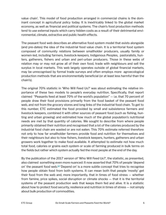value chain'. This model of food production arranged in commercial chains is the dominant concept in agricultural policy today. It is inextricably linked to the global market economy, as well as financial and political systems. The chain's food production methods tend to use external inputs which carry hidden costs as a result of their detrimental environmental, climate, extractive and public health effects.

The peasant food web describes an alternative food system model that exists alongside (and pre-dates) the idea of the industrial food value chain. It is a territorial food system composed of community relations between smallholder producers, usually family or women-led, including farmers, livestock-keepers, Indigenous Peoples, pastoralists, hunters, gatherers, fishers and urban and peri-urban producers. Those in these webs of relation may or may not grow all of their own food, trade with neighbours and sell the surplus in local markets. This web largely operates outside of global financial markets, may be unrecognised by formal trade surveys and often employs more agroecological production methods that are environmentally beneficial (or at least less harmful than the chain's).

The original 70% statistic in 'Who Will Feed Us?' was about estimating the relative importance of these two models to people's everyday nutrition. Specifically, that report claimed "Peasants feed at least 70% of the world's population" — i.e. that 70 percent of people draw their food provisions primarily from the food basket of the peasant food web, and not from the grocery stores and long links of the industrial food chain. To get to this number, ETC estimated the food provided by small and subsistence farmers and livestock keepers, combined it with other sources of peasant food (such as fishing, hunting and urban growing) and estimated how much of the global population's nutritional needs are met by that quantity of calories. We sought to describe from where people primarily obtained their nutrition and recognised that a lot of the calories produced by the industrial food chain are wasted or are not eaten. This 70% estimate referred therefore not only to how far smallholder farmers provide food and nutrition for themselves and their neighbours but also to how fishers, livestock keepers, hunters, gatherers and urban growers work together to make food available. It attempted to estimate not how much total food, calories or grains each system or scale of farming produced in bulk terms on the fields but rather which system actually fed the most people at the end of the day.

By the publication of the 2017 version of 'Who Will Feed Us?', the statistic, as presented, also claimed something even more nuanced: It now asserted that 70% of people 'depend on' the peasant food web. $\frac{13}{2}$  'Depend on' is a more subtle concept that tries to recognise how people obtain food from both systems. It can mean both that people 'mostly' get their food from the web and, more importantly, that in times of food stress — whether from famine, price spikes, social disruption or climate shocks — that it is the territorial systems of the peasant production web that keeps them fed and alive. It is a statistic about how to protect food security, resilience and nutrition in times of stress — not simply about bulk production of commodities.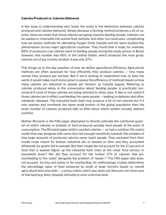#### **Calories Produced vs. Calories Delivered**

A key issue in understanding who feeds the world is the distinction between calories produced and calories delivered. Simply because a farming method produces a lot of calories, does not mean that those calories are going towards feeding people. Calories can be wasted or channeled into animal feed, biofuels, and other non-food uses, complicating how we assess methods for alleviating hunger. Emily Cassidy and her team studied this phenomenon across major agricultural countries. They found that in India, for example, 89% of produced crop calories went to feeding people during the study period. In Brazil, however, that number was 45%. In the United States, which produces the most gross calories out of any country studied, it was only 27%.

This brings us to the key question of how we define agricultural efficiency. Agricultural methods are often assessed for how efficiently they produce calories — how many tonnes they produce per hectare. But if we're looking to understand how to feed the world, it would make much more sense to assess the efficiency of methods based on how many calories are delivered to people per hectare, as Cassidy argues. Referring to calories produced alone, in the conversation about feeding people, is practically nonsensical if most of those calories are being diverted to other uses. It also is not useful if those calories are in effect overfeeding the same people — leading to diabetes and other metabolic diseases. The industrial food chain may produce a lot of net calories but if it only reaches and overfeeds the same small portion of the global population then the brute number of calories produced tells us little about which system actually delivers nutrition.

Neither Ricciardi or the FAO paper attempted to directly estimate the nutritional question of which calories or bushels of food produced actually feed people at the point of consumption. The Ricciardi paper (which counted calories — so had a nutrition tilt) used a model that was designed with some (but not enough) sensitivity towards this problem of how large amounts of produced calories never reach people. They excluded from their model crops meant for biofuel, industrial oils or wasted on farm and they accounted differently for grains fed to animals. But their model did not account for the 17 percent of food that is wasted higher up the industrial food chain at the retail, food service or household level.<sup>[14](#page-15-0)</sup> Nor did they account for the further 17% of calories that are overfeeding to the 'waist' alongside the problem of 'waste'.<sup>15</sup> The FAO paper also does not account for loss and waste or for overfeeding. Its methodology crudely determines the percentage value of food produced by small or large farmers based on overall agricultural land area held — a proxy metric which also does not discount non-food uses of that land (e.g. feed, oilseeds, biofuels) or even unfarmed land.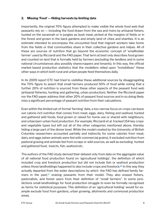#### **2. Missing 'Food' — Hiding harvests by limiting data**

Importantly, the original 70% figure attempted to make visible the whole food web that peasants rely on — including the food drawn from the sea and rivers by artisanal fishers, hunted on the savannah or in jungles as bush meat, picked at the margins of fields or in the forest and grown in the back gardens and empty land of cities and shanties. It is an estimate intended to encompass the uncounted food that migrant workers take home from the fields or that communities share in their collective gardens and milpas. All of these are sources of nutrition that go beyond the economic concept of 'smallholder farmer' used by Ricciardi and the FAO paper. That term at best only describes food grown and counted on land that is formally held by farmers (excluding the landless and in some national circumstances also possibly sharecroppers and tenants). In this way, the official market-based production statistics that the modellers relied upon "invisibilises" these other ways in which both rural and urban people feed themselves daily.

In its 2009 report ETC had tried to visibilise these additional sources by disaggregating the 70% figure to assert that small farmers produced 50% of food while noting that a further 20% of nutrition is sourced from these other aspects of the peasant food web (artisanal fisheries, hunting and gathering, urban production). Neither the Ricciardi paper nor the FAO paper address that other 20% of peasant food sources and in so doing likely miss a significant percentage of peasant nutrition from their calculations.

Even within the limited set of formal 'farming' data, a too-narrow focus on crops can leave out calorie-rich nutrition that comes from meat, eggs, dairy, fishing and seafood, hunted and gathered wild foods, food grown or raised for home use or shared with neighbours, and urban/peri-urban food production. For example, Ricciardi *et al.* tracked 154 key crops and vegetable types but left out all of the other categories mentioned above, thereby hiding a large part of the dinner bowl. While the model created by the University of British Columbia researchers accounted partially and indirectly for some calories from meat, dairy and eggs (when animals were fed with commercial grains), it excluded nutrition from pastoral grazing and animals fed from scraps or wild sources, as well as excluding hunted and gathered food, insects, fish, seafood etc.

The authors of the FAO study derived their dataset only from data on the aggregate value of all national food production found on 'agricultural holdings', the definition of which included crop and livestock production but did not include fish or seafood production unless those landholdings happened to also include crops and livestock.<sup>16</sup> In this way they actually departed from the wider descriptions by which the FAO has defined family farmers in the past,  $17$  erasing peasants from their model. They also erased fishers, pastoralists, and forest users from their definition of "small farmers". In some jurisdictions small landholdings for food production struggle to even be formally recognised as farms for statistical purposes. This definition of an 'agricultural holding' would for example exclude food from gardens, urban growing, allotments and communal production areas.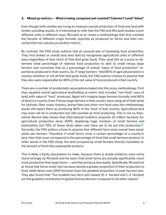#### **3. Mixed up metrics — What is being compared and counted? Calories? Land? Value?**

Even though both studies are trying to measure overall production of food and land with similar-sounding results, it is interesting to note that the FAO and Ricciardi studies count different units in different ways. Ricciardi *et al.* chose a methodology that first counted the harvest of different crops formally reported as produced on farms and then converted that into calories (a nutrition metric).

By contrast, the FAO study authors had an unusual way of assessing food production. They first looked at overall land area held by recognised agricultural units of different sizes (regardless of how much of that land grew food). They used this as a proxy to determine what percentage of national food production to allot to small versus large farmers and converted that as a percentage of overall "value of food production" reported as produced in that country. So, if 'large farmers' held 80% of agricultural land in a country (whether or not all that land grew food), the FAO authors choose to assume that they also were responsible for 80% of the net value of food produced in that country.

There are a number of problematic assumptions baked into this proxy methodology. First they equated overall agricultural landholding (a metric that includes "non-food" uses of land) with value of "food" produced. Again let's imagine large farmers formally hold 80% of land in a country. Even if those large farmers in that country were using all of their lands for biofuels, fiber crops, forestry, animal feed and other non-food uses this methodology would still report them as producing 80% of the 'food' in that country. Agricultural land may even not be in production but still counted as food producing. This is not so theoretical: Recent data shows that international investors acquired 33 million hectares for agricultural production since 2000, displacing huge numbers of small farmers and pastoralists, but 70% of these lands taken over have yet to be put into production.<sup>18</sup> Secondly, the FAO authors chose to assume that different farm sizes overall have equal yields per hectare. Therefore, if small farms cover a certain percentage of a country's land, then that must correspond to the percentage of food that small farmers produce. In other words in the FAO study, the land occupied by small farmers directly translates to the amount of food they supposedly produce.

This is likely a faulty assumption to make, because there is ample evidence, even some found strongly by Ricciardi and his team, that small farms are actually significantly much more productive than large farms — and they produce less waste. Specifically, Ricciardi *et al.* found that farms under two hectares devote a greater proportion of their production to food, while farms over 1000 hectares have the greatest proportion of post-harvest loss. They also found that "The smallest two farm size classes (0–1 hectare and 1–2 hectare) are the greatest contributors to global food production compared to all other classes."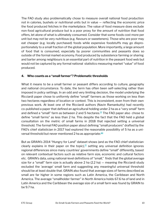The FAO study also problematically chose to measure overall national food production not in calories, bushels or nutritional units but in value — reflecting the economic price the food produced fetches in the marketplace. The value of food measure does exclude non-food agricultural produce but is a poor proxy for the amount of nutrition that food offers, let alone of what is ultimately consumed. Consider that some foods cost more per unit but may not be very nutritious (e.g. flavours or sweeteners). Those who are poor may eat cheaper (e.g. locally purchased) foods while expensive foodstuffs may go disproportionately to a small fraction of the global population. More importantly, a large amount of food that is consumed, especially by poorer communities and peasants does so outside of the formal market economy. Food produced by subsistence farming or sharing and barter among neighbours is an essential part of nutrition in the peasant food web but would not be captured by any formal national statistics measuring market "value" of food produced.

## **4. Who counts as a "small farmer"? Problematic thresholds**

What it means to be a small farmer or peasant differs according to culture, geography and national circumstance. To date, the term has often been self-selecting rather than imposed in policy settings. In an odd and very limiting decision, the model underlying the Ricciardi paper chose to uniformly define "small" farmers as those working on less than two hectares regardless of location or context. This is inconsistent, even from their own previous work. At least one of the Ricciardi authors (Navin Ramankutty) had recently co-published a paper that defined an agricultural holding under 2 ha as a "very small" farm and defined a "small" farm as between 2 and 5 hectares. $19$  The FAO paper also chose to define "small farms" as less than 2 ha. This despite the fact that the FAO held a global consultation on the metric of small farms in 2018 that rejected setting a universal threshold. The formal FAO position paper about defining "small producers" drafted by the FAO's chief statistician in 2017 had explored the reasonable possibility of 5 ha as a universal threshold but never mentioned 2 ha as appropriate.<sup>20</sup>

But as GRAIN's 2014 "Hungry for Land" dataset shows (and as the FAO chief statistician clearly explains in their paper on the topic), $21$  setting any universal definition ignores regional differences since many countries' governments define "small" differently, based on relevant contextual factors such as relative farm size, economic and cultural factors etc. GRAIN's data, using national-level definitions of "small," finds that the global average size for a "small" farm size is actually above 2 ha (2.2 ha) — meaning the Ricciardi study excluded the 'average' small farm and suggesting any meaningful universal threshold should be at least double that. GRAIN also found that average sizes of farms described as small are far higher in some regions such as Latin America, the Caribbean and North America. The average "smallholder farmer" in North America holds 67.6 ha of land and in Latin America and the Caribbean the average size of a small farm was found by GRAIN to be 9.7 ha.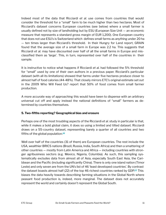Indeed most of the data that Ricciardi *et al.* use comes from countries that would consider the threshold for a "small" farm to be much higher than two hectares. Most of Ricciardi's dataset concerns European countries (see below) where a small farmer is usually defined not by size of landholding but by ESU (European Size Unit — an economic measure that represents a standard gross margin of EUR 1,200). One European country that does not use ESU's is Switzerland which defines small farms as anything under 20 ha — ten times larger than Ricciardi's threshold. In their Hungry for Land report, GRAIN found that the average size of a small farm in Europe was 2.2 ha. This suggests that Ricciardi *et al.* may have discounted over half of all the small farms in Europe and misclassified them as 'large'. This, in turn, represented over half of the countries in their sample.

It is instructive to notice what happens if Ricciardi *et al.* had followed the 5% threshold for "small" used by one of their own authors in a previous paper. Ricciardi's particular dataset (with all its limitations) showed that farms under five hectares produce closer to almost half of food calories (44-48%). That closely mirrors ETC's original estimate set out in the 2009 Who Will Feed Us? report that 50% of food comes from small farmer production.

A more accurate way of approaching this would have been to dispense with an arbitrary universal cut off and apply instead the national definitions of "small" farmers as determined by countries themselves.

## **5. Two-fifths reporting? Geographical bias and erasure**

Perhaps one of the most troubling aspects of the Ricciardi *et al.* study in particular is that, while it makes a bold global claim, it does so using a limited and tilted dataset. Ricciardi draws on a 55-country dataset, representing barely a quarter of all countries and two fifths of the global population. $^{22}$ 

Well over half of the countries (31 of them) are European countries. The rest include the USA, wealthier BRICS nations (Brazil, Russia, India, South Africa) and then a smattering of other countries — mostly from Latin America and Africa — including countries with stronger agribusiness sectors (e.g. Mexico, Nigeria, Columbia). As such, this sampling systematically excludes data from almost all of Asia, especially South East Asia, the Caribbean and the Pacific (including significantly China). There is only one island nation (Timor Leste) and only seven are from the UN's list of 46 'least developed countries'. By contrast the dataset boasts almost half (22) of the top 46 richest countries ranked by GDP.<sup>23</sup> This biases the data heavily towards describing farming situations in the Global North where peasant food production is, indeed, more marginal. The dataset does not accurately represent the world and certainly doesn't represent the Global South.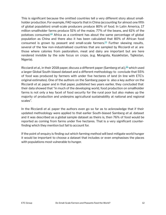This is significant because the omitted countries tell a very different story about smallholder production. For example, FAO reports that in China (accounting for almost one fifth of global population) small-scale producers produce 80% of food. In Latin America, 17 million smallholder farms produce 51% of the maize, 77% of the beans, and 61% of the potatoes consumed.<sup>[24](#page-15-0)</sup> Africa as a continent has about the same percentage of global population as China and there also it has been calculated that 80% of African food consumed is grown by peasant and small-scale farmers.<sup>25</sup> Further skewing results, several of the few non-industrialised countries that are sampled by Ricciardi *et al.* are those where calories from pastoralism, meat and dairy are important but are here rendered invisible by the sole focus on crops. (e.g. Mongolia, Kazakhstan, Tajikistan, Nigeria).

Ricciardi *et al.*, in their 2018 paper, discuss a different paper (Samberg *et al.*), <sup>26</sup> which used a larger Global South-biased dataset and a different methodology to conclude that 55% of food was produced by farmers with under five hectares of land (in line with ETC's original estimates). One of the authors on the Samberg paper is also a key author on the Ricciardi *et al.* paper and in that paper, published two years earlier, they concluded that their data showed that "in much of the developing world, food production on smallholder farms is not only a key facet of food security for the rural poor but also makes up the majority of production and underpins agricultural sustainability at national and regional scales".

In the Ricciardi *et al.* paper the authors even go so far as to acknowledge that if their updated methodology were applied to that earlier South-biased Samberg *et al.* dataset and it was described as a global sample dataset as theirs is, then 76% of food would be reported as coming from farms under five hectares. That is a very significant counterfinding which they mention but fail to account for.

If the point of enquiry is finding out which farming method will best mitigate world hunger it would be important to choose a dataset that includes or even emphasises the places with populations most vulnerable to hunger.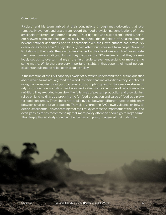#### **Conclusion**

Ricciardi and his team arrived at their conclusions through methodologies that systematically overlook and erase from record the food provisioning contributions of most smallholder farmers and other peasants. Their dataset was culled from a partial, northern-skewed sampling that unnecessarily restricted the definition of smallholders far beyond national definitions and to a threshold even their own authors had previously described as "very small". They also only paid attention to calories from crops. Given the limitations of their data, they vastly over-claimed in their headlines and didn't investigate their own counter-findings. Nor did they disprove the 70% estimate that they so zealously set out to overturn failing at the first hurdle to even understand or measure the same metric. While there are very important insights in that paper, their headline conclusions should not be relied upon to guide policy.

If the intention of the FAO paper by Lowder *et al.* was to understand the nutrition question about which farms actually feed the world (as their headline advertises) they set about it using the wrong methodology. To answer a consumption question they were mistaken to rely on production statistics, land area and value metrics — none of which measure nutrition. They excluded from view the fuller web of peasant production and provisioning, relied on land holding as a proxy metric for food production and value of food as a proxy for food consumed. They chose not to distinguish between different rates of efficiency between small and large producers. They also ignored the FAO's own guidance on how to define small farms. It is concerning that their study carries the imprimatur of the FAO and even goes as far as recommending that more policy attention should go to large farms. This deeply flawed study should not be the basis of policy changes at that institution.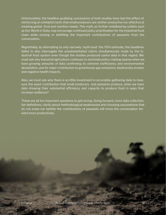Unfortunately, the headline-grabbing conclusions of both studies have had the effect of reinforcing an unhelpful myth: that small producers are neither productive nor effective at meeting global food and nutrition needs. This myth, as further mobilised by outlets such as Our World in Data, may encourage continued policy prioritisation for the industrial food chain while erasing or belittling the important contributions of peasants from the conversation.

Regrettably, by attempting to only narrowly 'myth-bust' the 70% estimate, the headlines failed to also interrogate the unsubstantiated claims simultaneously made by the industrial food system even though the studies produced useful data in that regard. We must ask why industrial agriculture continues to dominate policy-making spaces when we have growing amounts of data confirming its extreme inefficiency and environmental devastation, and its major contribution to greenhouse gas emissions, biodiversity erosion and negative health impacts.

Also, we must ask why there is so little investment in accurately gathering data to measure the exact contribution that small producers and peasants produce, when we have data showing their substantial efficiency, and capacity to produce food in ways that increase resilience?

These are all too important questions to get wrong. Going forward, more data collection, fair definitions, clarity about methodological weaknesses and choosing assumptions that do not erase nor belittle the contributions of peasants will move the conversation forward more productively.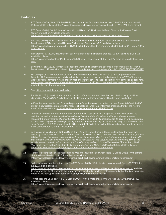#### <span id="page-14-0"></span>**Endnotes**

- 1. ETC Group (2009), "Who Will Feed Us? Questions for the Food and Climate Crises.", 1st Edition. Communiqué #102. Available online at: [https://www.etcgroup.org/sites/www.etcgroup.org/files/ETC\\_Who\\_Will\\_Feed\\_Us.pdf](https://www.etcgroup.org/sites/www.etcgroup.org/files/files/etc-whowillfeedus-english-webshare.pdf)
- 2. ETC Group (2014), "With Climate Chaos: Who Will Feed Us? The Industrial Food Chain or the Peasant Food Web?", 2nd Edition. Available online at: [https://www.etcgroup.org/sites/www.etcgroup.org/files/web\\_who\\_will\\_feed\\_us\\_with\\_notes\\_0.pdf](https://www.etcgroup.org/sites/www.etcgroup.org/files/web_who_will_feed_us_with_notes_0.pdf)
- 3. IFAD and UNEP (2013), "Smallholders, food security and the environment", International Fund for Agricultural Development (IFAD) and United Nations Environment Program (UNEP). Available online at: [https://www.ifad.org/documents/38714170/39135645/smallholders\\_report.pdf/133e8903-0204-4e7d-a780-b](https://www.ifad.org/documents/38714170/39135645/smallholders_report.pdf/133e8903-0204-4e7d-a780-bca847933f2e) [ca847933f2e](https://www.ifad.org/documents/38714170/39135645/smallholders_report.pdf/133e8903-0204-4e7d-a780-bca847933f2e)
- 4. Ricciardi V *et al.*, (2018), "How much of our world's food do smallholders produce?", *Glob. Food Sec. 17*, 64–72. Available online at: [https://www.researchgate.net/publication/325405959\\_How\\_much\\_of\\_the\\_world's\\_food\\_do\\_smallholders\\_pro](https://www.researchgate.net/publication/325405959_How_much_of_the_world) [duce](https://www.researchgate.net/publication/325405959_How_much_of_the_world)
- 5. Lowder S.K., *et al*.,(2021) "Which farms feed the world and has farmland become more concentrated?", *World Development*, 142. Available online at: <https://www.sciencedirect.com/science/article/pii/S0305750X2100067X>
- 6. For example on 23rd September an article written by authors from GRAIN And La Via Campesina for The Guardian (UK) Newspaper was published. While the manuscript as submitted referred to how 70% of the world was fed by small farmers, it was edited by fact-checkers to say 'one third'. The article now carries an editor's note. [https://www.theguardian.com/global-development/2021/sep/23/small-farmers-have-the-answer-to-feeding-th](https://www.theguardian.com/global-development/2021/sep/23/small-farmers-have-the-answer-to-feeding-the-world-why-isnt-the-un-listening) [e-world-why-isnt-the-un-listening](https://www.theguardian.com/global-development/2021/sep/23/small-farmers-have-the-answer-to-feeding-the-world-why-isnt-the-un-listening)
- 7. See: <https://ourworldindata.org/funding>
- 8. Ritchie, H. (2021) "Smallholders produce one-third of the world's food, less than half of what many headlines claim", *Our World in Data.* Available online at:<https://ourworldindata.org/smallholder-food-production>
- 9. All 3 authors are credited as "Food and Agriculture Organization of the United Nations, Rome, Italy" and the FAO put out a news release promoting the research headlined "Small family farmers produce a third of the world's food". Available online at: <u>https://www.fao.org/news/story/en/item/1395127/icode</u>/
- 10. *"However, to the extent that international organizations focus on what is happening at the lower end of the distribution, their attention may be diverted away from the state of medium and large scale farms which represent the vast majority of agricultural land. It would be difficult, if not impossible, to have an unbiased picture of the state of large scale and corporate agriculture if international organizations focus only on smallholders and small farms."* in [FAO 2021 report:](https://www.sciencedirect.com/science/article/pii/S0305750X2100067X) Lowder S.K., *et al*.,(2021) "Which farms feed the world and has farmland become more concentrated?", *World Development*, 142, p.p.4.
- 11. At a blog article on Springer Nature, Ramankutty (one of Ricciardi *et al.* authors) explains how the paper was driven by his incredulity that small farmers could feed 70% of the world :*"She had read that smallholders produce 70% of the world's food and wondered how that was known and what the implications were. I was astounded by that statistic. My work involves mapping the world's agricultural land use, and knowing that nearly 50% of the world's land is in wheat, maize, rice, and soy, I couldn't imagine how this could be possible."* Ramankutty, Navin, "Are Small Farms Better?", Sustainability Community, *Springer Nature,* 26 March 2021. Available online at[:](https://sustainabilitycommunity.springernature.com/posts/are-small-farms-better) <https://sustainabilitycommunity.springernature.com/posts/are-small-farms-better>
- 12. For more descriptions of the Peasant Food Web and Industrial Food Chain see: ETC Group (2017), "With climate chaos: Who will feed us?", 3rd Edition. Available online at: <https://www.etcgroup.org/sites/www.etcgroup.org/files/files/etc-whowillfeedus-english-webshare.pdf>
- 13. "Where do most people get their food", in ETC Group (2017), "With climate chaos: Who will feed us?", 3<sup>rd</sup> Edition, p.p. 12. Available online at: <https://www.etcgroup.org/sites/www.etcgroup.org/files/files/etc-whowillfeedus-english-webshare.pdf> available to consumers in 2019, went into the waste bins of households, retailers, restaurants and other food services. See: <https://www.fao.org/platform-food-loss-waste/news/detail/en/c/1378973/>
- 15. "What does the Chain cost?" in ETC Group (2017), "With climate chaos: Who will feed us?", 3<sup>rd</sup> Edition, p. 40. Available online at[:](https://www.etcgroup.org/sites/www.etcgroup.org/files/files/etc-whowillfeedus-english-webshare.pdf) <https://www.etcgroup.org/sites/www.etcgroup.org/files/files/etc-whowillfeedus-english-webshare.pdf>